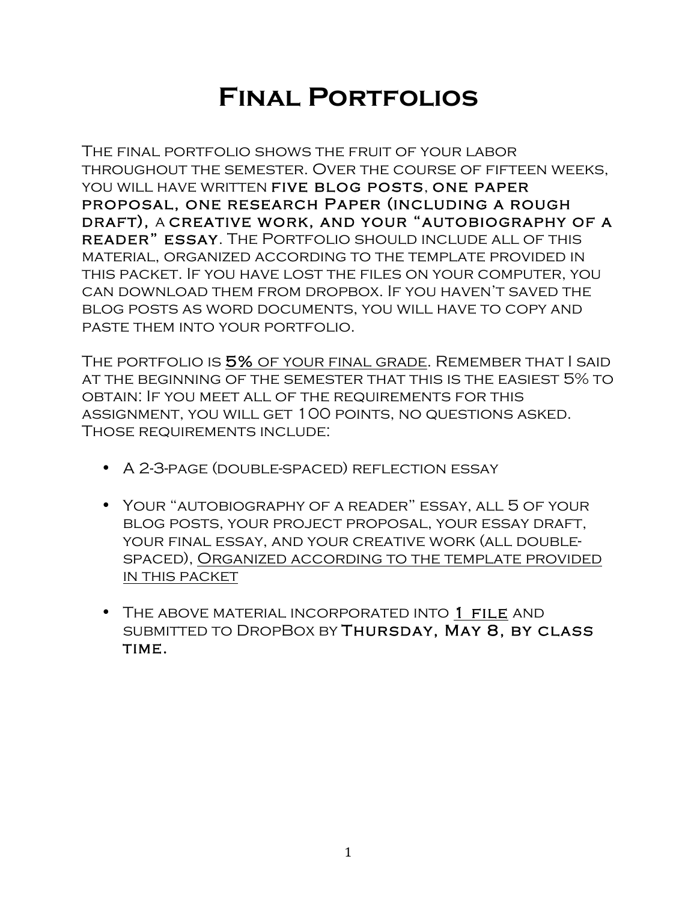## **Final Portfolios**

The final portfolio shows the fruit of your labor throughout the semester. Over the course of fifteen weeks, YOU WILL HAVE WRITTEN FIVE BLOG POSTS, ONE PAPER proposal, one research Paper (including a rough draft), a creative work, and your "autobiography of a reader" essay. The Portfolio should include all of this material, organized according to the template provided in this packet. If you have lost the files on your computer, you can download them from dropbox. If you haven't saved the blog posts as word documents, you will have to copy and paste them into your portfolio.

THE PORTFOLIO IS 5% OF YOUR FINAL GRADE. REMEMBER THAT I SAID at the beginning of the semester that this is the easiest 5% to obtain: If you meet all of the requirements for this assignment, you will get 100 points, no questions asked. Those requirements include:

- A 2-3-page (double-spaced) reflection essay
- Your "autobiography of a reader" essay, all 5 of your blog posts, your project proposal, your essay draft, your final essay, and your creative work (all doublespaced), Organized according to the template provided in this packet
- THE ABOVE MATERIAL INCORPORATED INTO 1 FILE AND submitted to DropBox by Thursday, May 8, by class TIME.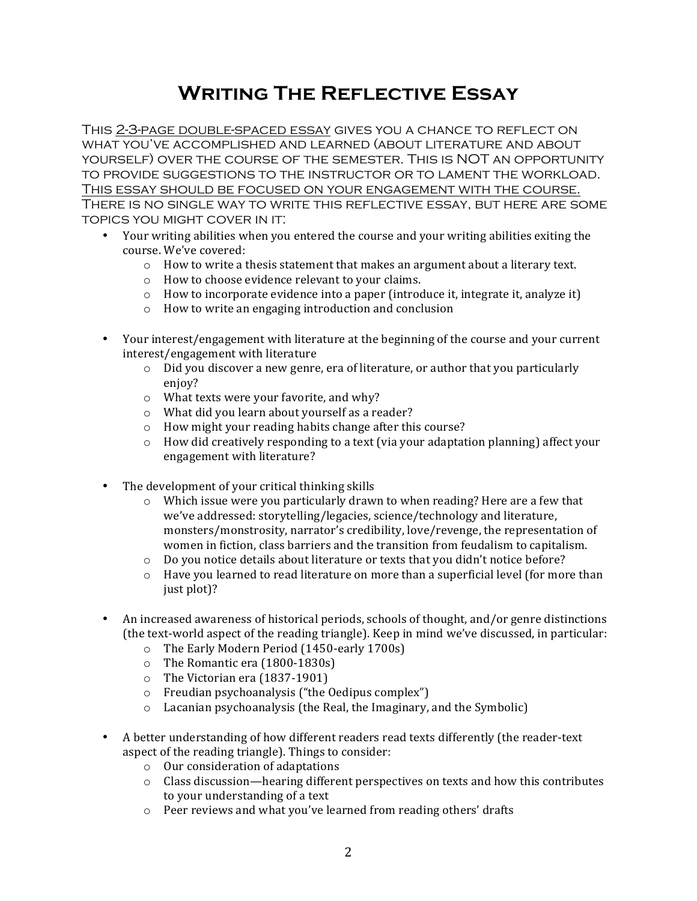## **Writing The Reflective Essay**

This 2-3-page double-spaced essay gives you a chance to reflect on what you've accomplished and learned (about literature and about yourself) over the course of the semester. This is NOT an opportunity to provide suggestions to the instructor or to lament the workload. This essay should be focused on your engagement with the course. There is no single way to write this reflective essay, but here are some topics you might cover in it:

- Your writing abilities when you entered the course and your writing abilities exiting the course. We've covered:
	- $\circ$  How to write a thesis statement that makes an argument about a literary text.
	- $\circ$  How to choose evidence relevant to your claims.
	- $\circ$  How to incorporate evidence into a paper (introduce it, integrate it, analyze it)
	- o How to write an engaging introduction and conclusion
- Your interest/engagement with literature at the beginning of the course and your current interest/engagement with literature
	- $\circ$  Did you discover a new genre, era of literature, or author that you particularly enjoy?
	- $\circ$  What texts were your favorite, and why?
	- $\circ$  What did you learn about yourself as a reader?
	- $\circ$  How might your reading habits change after this course?
	- $\circ$  How did creatively responding to a text (via your adaptation planning) affect your engagement with literature?
- The development of your critical thinking skills
	- $\circ$  Which issue were you particularly drawn to when reading? Here are a few that we've addressed: storytelling/legacies, science/technology and literature, monsters/monstrosity, narrator's credibility, love/revenge, the representation of women in fiction, class barriers and the transition from feudalism to capitalism.
	- o Do you notice details about literature or texts that you didn't notice before?
	- $\circ$  Have you learned to read literature on more than a superficial level (for more than just plot)?
- An increased awareness of historical periods, schools of thought, and/or genre distinctions (the text-world aspect of the reading triangle). Keep in mind we've discussed, in particular:
	- $\circ$  The Early Modern Period (1450-early 1700s)
	- $\circ$  The Romantic era (1800-1830s)
	- $\circ$  The Victorian era (1837-1901)
	- $\circ$  Freudian psychoanalysis ("the Oedipus complex")
	- $\circ$  Lacanian psychoanalysis (the Real, the Imaginary, and the Symbolic)
- A better understanding of how different readers read texts differently (the reader-text aspect of the reading triangle). Things to consider:
	- $\circ$  Our consideration of adaptations
	- $\circ$  Class discussion—hearing different perspectives on texts and how this contributes to your understanding of a text
	- $\circ$  Peer reviews and what you've learned from reading others' drafts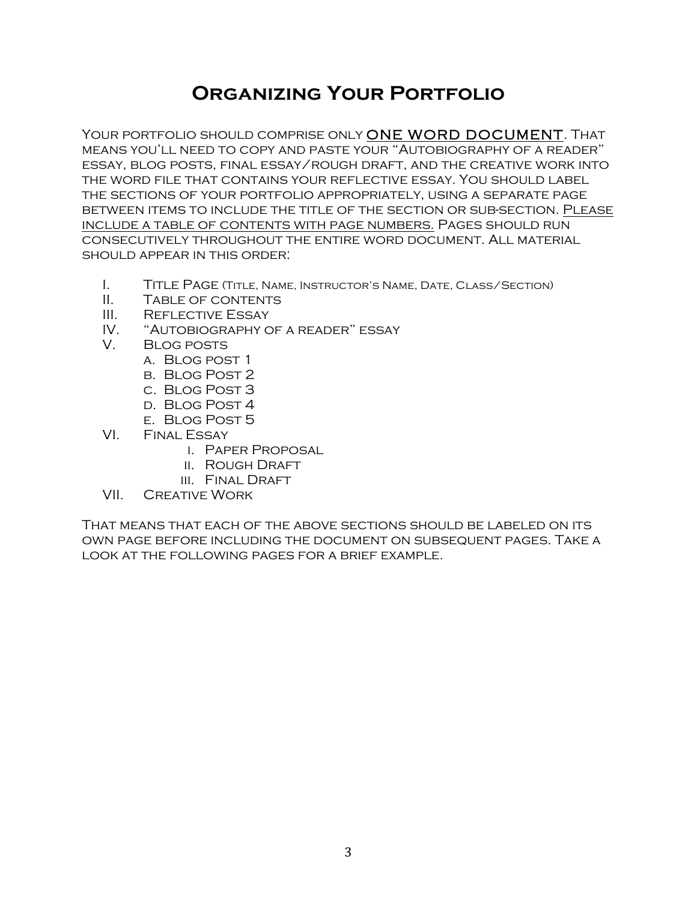## **Organizing Your Portfolio**

YOUR PORTFOLIO SHOULD COMPRISE ONLY ONE WORD DOCUMENT. THAT means you'll need to copy and paste your "Autobiography of a reader" essay, blog posts, final essay/rough draft, and the creative work into the word file that contains your reflective essay. You should label the sections of your portfolio appropriately, using a separate page between items to include the title of the section or sub-section. Please include a table of contents with page numbers. Pages should run consecutively throughout the entire word document. All material should appear in this order:

- I. Title Page (Title, Name, Instructor's Name, Date, Class/Section)
- II. Table of contents
- III. REFLECTIVE ESSAY
- IV. "Autobiography of a reader" essay
- V. Blog posts
	- a. Blog post 1
	- b. Blog Post 2
	- c. Blog Post 3
	- d. Blog Post 4
	- e. Blog Post 5
- VI. Final Essay
	- i. Paper Proposal
	- ii. Rough Draft
	- III. FINAL DRAFT
- VII. Creative Work

That means that each of the above sections should be labeled on its own page before including the document on subsequent pages. Take a look at the following pages for a brief example.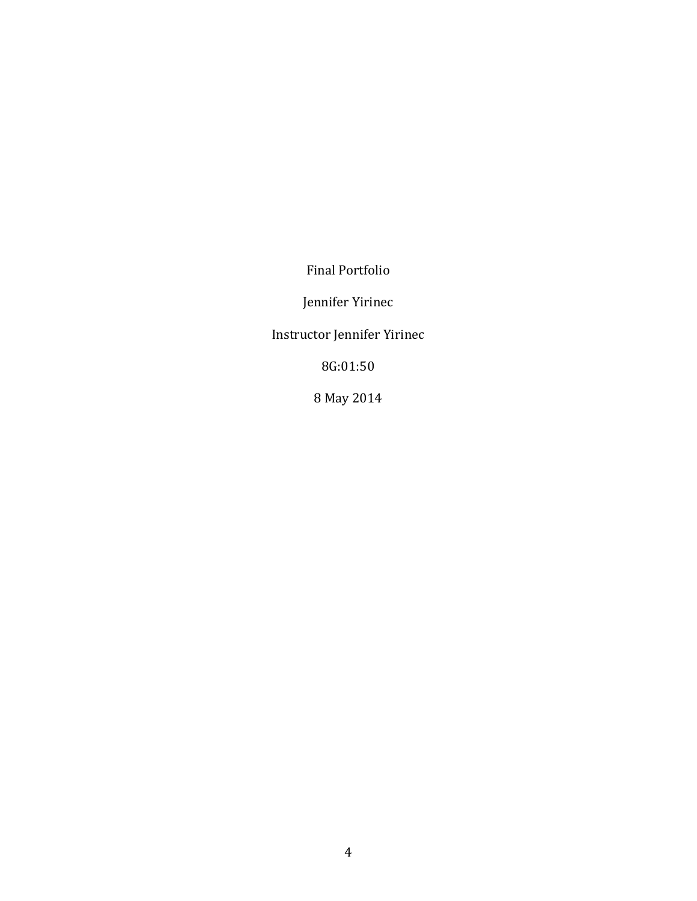Final Portfolio

Jennifer Yirinec

Instructor Jennifer Yirinec

8G:01:50

8 May 2014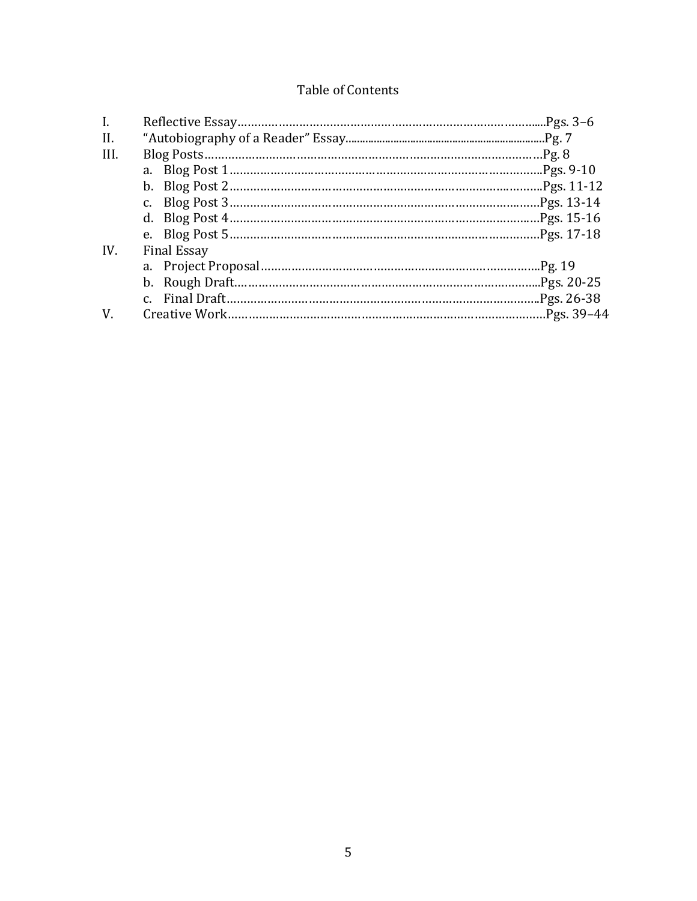## Table of Contents

| $\mathbf{I}$ . |                    |  |
|----------------|--------------------|--|
| II.            |                    |  |
| III.           |                    |  |
|                |                    |  |
|                |                    |  |
|                |                    |  |
|                |                    |  |
|                |                    |  |
| IV.            | <b>Final Essay</b> |  |
|                |                    |  |
|                |                    |  |
|                |                    |  |
| V.             |                    |  |
|                |                    |  |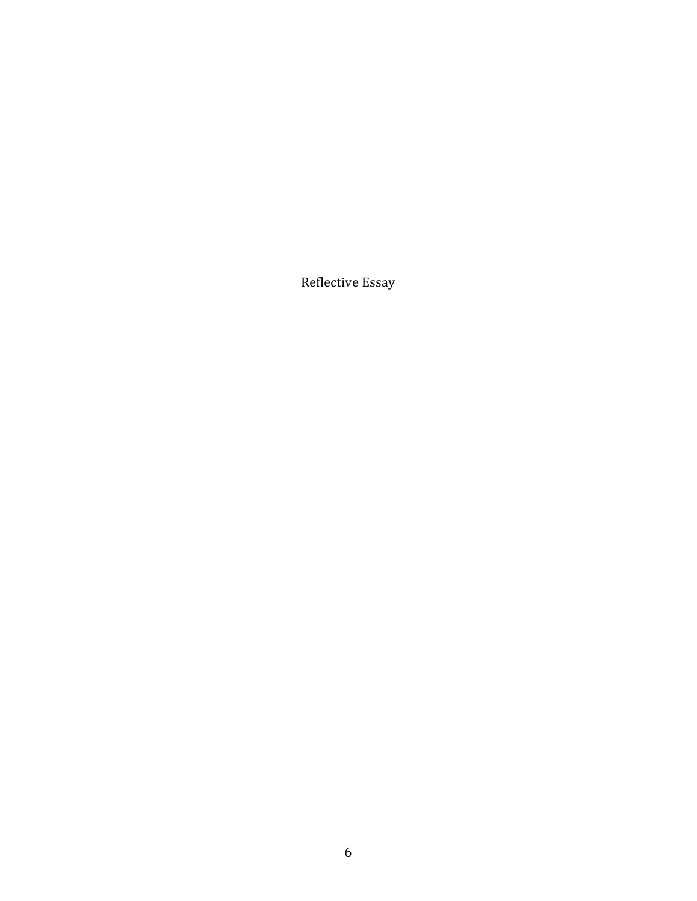Reflective Essay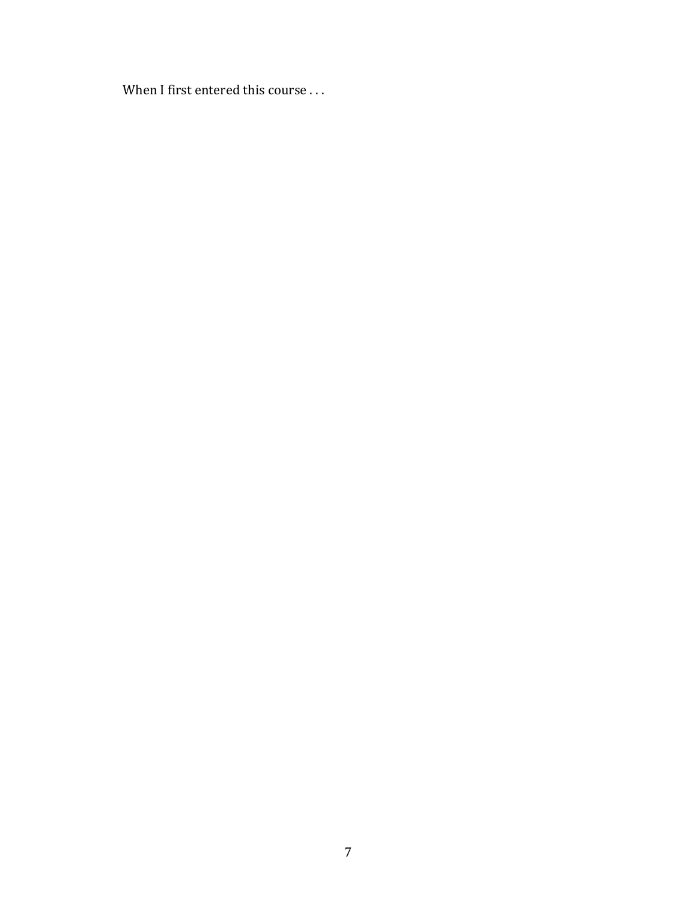When I first entered this course  $\dots$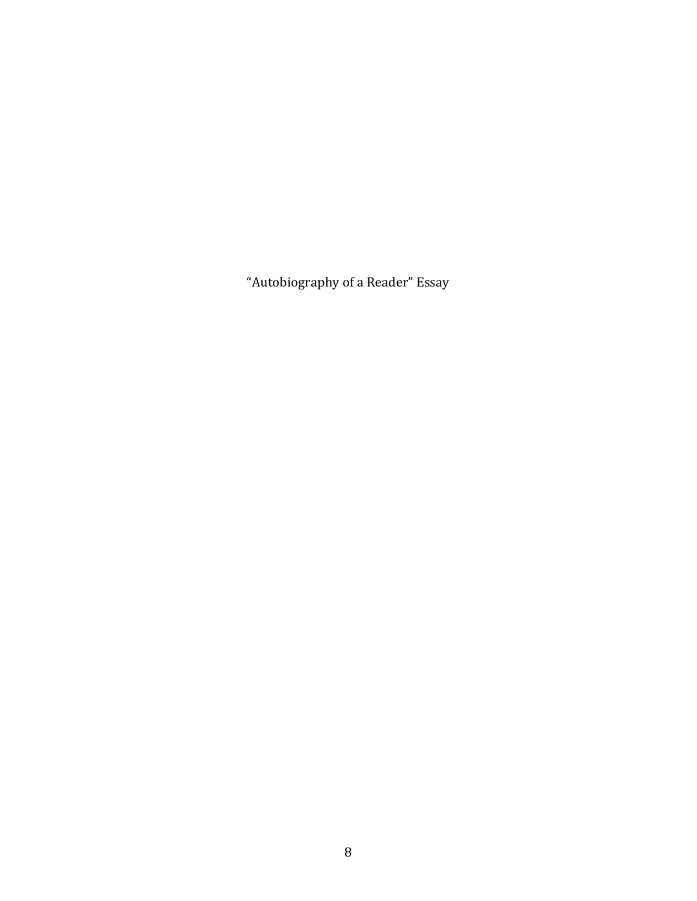"Autobiography of a Reader" Essay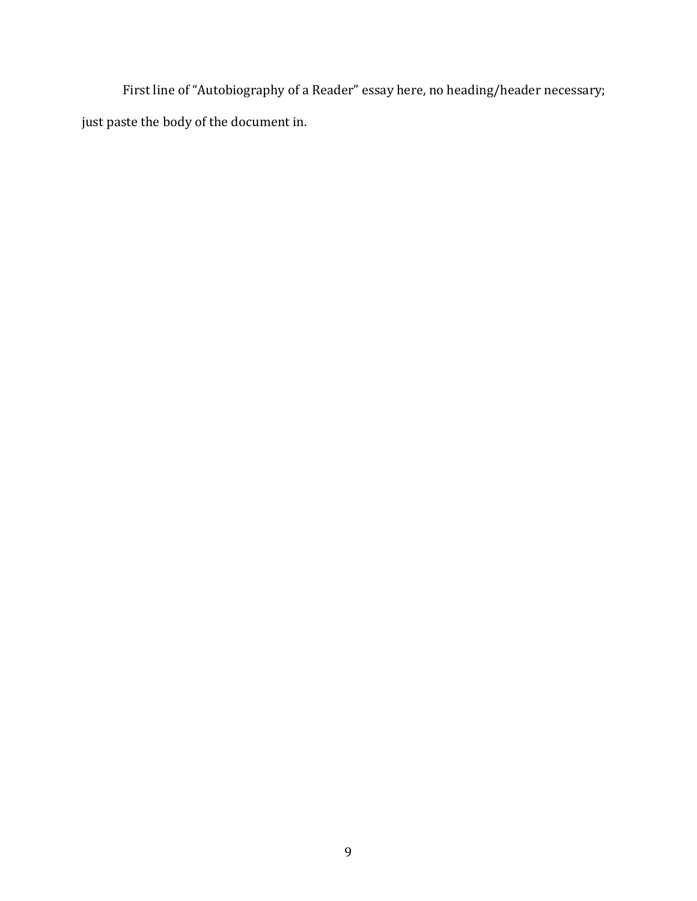First line of "Autobiography of a Reader" essay here, no heading/header necessary; just paste the body of the document in.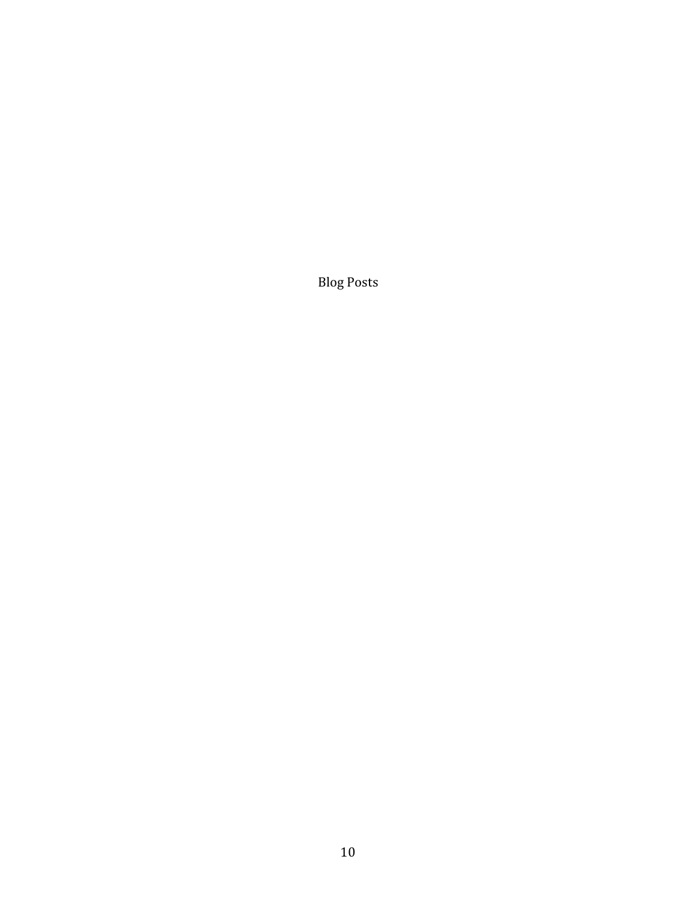Blog Posts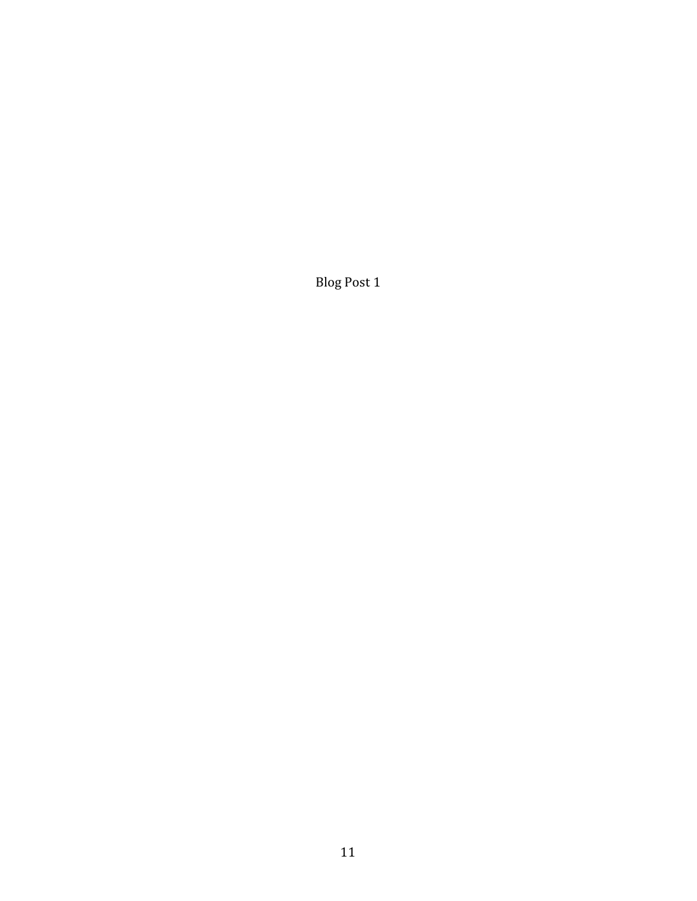Blog Post 1